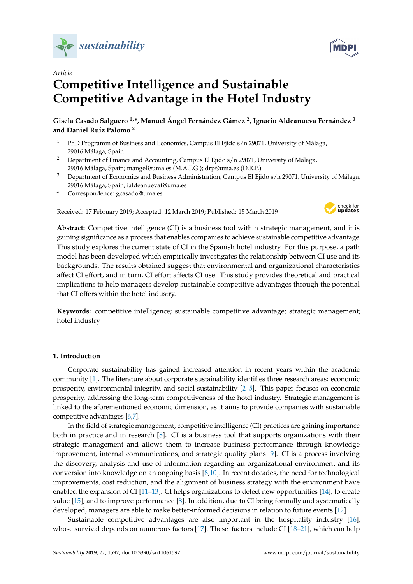



# *Article* **Competitive Intelligence and Sustainable Competitive Advantage in the Hotel Industry**

**Gisela Casado Salguero 1,\*, Manuel Ángel Fernández Gámez <sup>2</sup> , Ignacio Aldeanueva Fernández <sup>3</sup> and Daniel Ruíz Palomo <sup>2</sup>**

- <sup>1</sup> PhD Programm of Business and Economics, Campus El Ejido s/n 29071, University of Málaga, 29016 Málaga, Spain
- <sup>2</sup> Department of Finance and Accounting, Campus El Ejido s/n 29071, University of Málaga, 29016 Málaga, Spain; mangel@uma.es (M.A.F.G.); drp@uma.es (D.R.P.)
- <sup>3</sup> Department of Economics and Business Administration, Campus El Ejido s/n 29071, University of Málaga, 29016 Málaga, Spain; ialdeanuevaf@uma.es
- **\*** Correspondence: gcasado@uma.es

Received: 17 February 2019; Accepted: 12 March 2019; Published: 15 March 2019



**Abstract:** Competitive intelligence (CI) is a business tool within strategic management, and it is gaining significance as a process that enables companies to achieve sustainable competitive advantage. This study explores the current state of CI in the Spanish hotel industry. For this purpose, a path model has been developed which empirically investigates the relationship between CI use and its backgrounds. The results obtained suggest that environmental and organizational characteristics affect CI effort, and in turn, CI effort affects CI use. This study provides theoretical and practical implications to help managers develop sustainable competitive advantages through the potential that CI offers within the hotel industry.

**Keywords:** competitive intelligence; sustainable competitive advantage; strategic management; hotel industry

## **1. Introduction**

Corporate sustainability has gained increased attention in recent years within the academic community [\[1\]](#page-8-0). The literature about corporate sustainability identifies three research areas: economic prosperity, environmental integrity, and social sustainability [\[2](#page-8-1)[–5\]](#page-8-2). This paper focuses on economic prosperity, addressing the long-term competitiveness of the hotel industry. Strategic management is linked to the aforementioned economic dimension, as it aims to provide companies with sustainable competitive advantages [\[6,](#page-8-3)[7\]](#page-8-4).

In the field of strategic management, competitive intelligence (CI) practices are gaining importance both in practice and in research [\[8\]](#page-8-5). CI is a business tool that supports organizations with their strategic management and allows them to increase business performance through knowledge improvement, internal communications, and strategic quality plans [\[9\]](#page-8-6). CI is a process involving the discovery, analysis and use of information regarding an organizational environment and its conversion into knowledge on an ongoing basis [\[8](#page-8-5)[,10\]](#page-8-7). In recent decades, the need for technological improvements, cost reduction, and the alignment of business strategy with the environment have enabled the expansion of CI [\[11–](#page-8-8)[13\]](#page-9-0). CI helps organizations to detect new opportunities [\[14\]](#page-9-1), to create value [\[15\]](#page-9-2), and to improve performance [\[8\]](#page-8-5). In addition, due to CI being formally and systematically developed, managers are able to make better-informed decisions in relation to future events [\[12\]](#page-9-3).

Sustainable competitive advantages are also important in the hospitality industry [\[16\]](#page-9-4), whose survival depends on numerous factors [\[17\]](#page-9-5). These factors include CI [\[18](#page-9-6)[–21\]](#page-9-7), which can help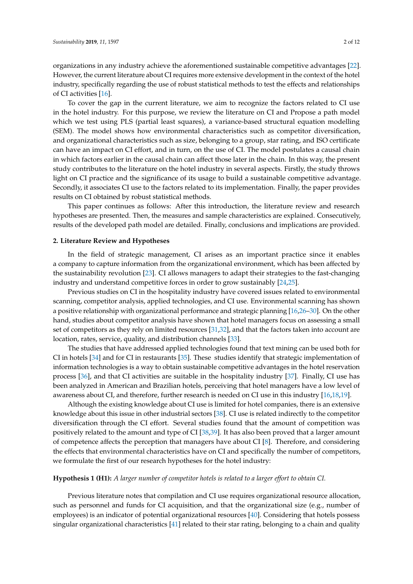organizations in any industry achieve the aforementioned sustainable competitive advantages [\[22\]](#page-9-8). However, the current literature about CI requires more extensive development in the context of the hotel industry, specifically regarding the use of robust statistical methods to test the effects and relationships of CI activities [\[16\]](#page-9-4).

To cover the gap in the current literature, we aim to recognize the factors related to CI use in the hotel industry. For this purpose, we review the literature on CI and Propose a path model which we test using PLS (partial least squares), a variance-based structural equation modelling (SEM). The model shows how environmental characteristics such as competitor diversification, and organizational characteristics such as size, belonging to a group, star rating, and ISO certificate can have an impact on CI effort, and in turn, on the use of CI. The model postulates a causal chain in which factors earlier in the causal chain can affect those later in the chain. In this way, the present study contributes to the literature on the hotel industry in several aspects. Firstly, the study throws light on CI practice and the significance of its usage to build a sustainable competitive advantage. Secondly, it associates CI use to the factors related to its implementation. Finally, the paper provides results on CI obtained by robust statistical methods.

This paper continues as follows: After this introduction, the literature review and research hypotheses are presented. Then, the measures and sample characteristics are explained. Consecutively, results of the developed path model are detailed. Finally, conclusions and implications are provided.

#### **2. Literature Review and Hypotheses**

In the field of strategic management, CI arises as an important practice since it enables a company to capture information from the organizational environment, which has been affected by the sustainability revolution [\[23\]](#page-9-9). CI allows managers to adapt their strategies to the fast-changing industry and understand competitive forces in order to grow sustainably [\[24,](#page-9-10)[25\]](#page-9-11).

Previous studies on CI in the hospitality industry have covered issues related to environmental scanning, competitor analysis, applied technologies, and CI use. Environmental scanning has shown a positive relationship with organizational performance and strategic planning [\[16,](#page-9-4)[26–](#page-9-12)[30\]](#page-9-13). On the other hand, studies about competitor analysis have shown that hotel managers focus on assessing a small set of competitors as they rely on limited resources [\[31](#page-9-14)[,32\]](#page-9-15), and that the factors taken into account are location, rates, service, quality, and distribution channels [\[33\]](#page-9-16).

The studies that have addressed applied technologies found that text mining can be used both for CI in hotels [\[34\]](#page-9-17) and for CI in restaurants [\[35\]](#page-9-18). These studies identify that strategic implementation of information technologies is a way to obtain sustainable competitive advantages in the hotel reservation process [\[36\]](#page-9-19), and that CI activities are suitable in the hospitality industry [\[37\]](#page-10-0). Finally, CI use has been analyzed in American and Brazilian hotels, perceiving that hotel managers have a low level of awareness about CI, and therefore, further research is needed on CI use in this industry [\[16,](#page-9-4)[18,](#page-9-6)[19\]](#page-9-20).

Although the existing knowledge about CI use is limited for hotel companies, there is an extensive knowledge about this issue in other industrial sectors [\[38\]](#page-10-1). CI use is related indirectly to the competitor diversification through the CI effort. Several studies found that the amount of competition was positively related to the amount and type of CI [\[38](#page-10-1)[,39\]](#page-10-2). It has also been proved that a larger amount of competence affects the perception that managers have about CI [\[8\]](#page-8-5). Therefore, and considering the effects that environmental characteristics have on CI and specifically the number of competitors, we formulate the first of our research hypotheses for the hotel industry:

#### **Hypothesis 1 (H1):** *A larger number of competitor hotels is related to a larger effort to obtain CI.*

Previous literature notes that compilation and CI use requires organizational resource allocation, such as personnel and funds for CI acquisition, and that the organizational size (e.g., number of employees) is an indicator of potential organizational resources [\[40\]](#page-10-3). Considering that hotels possess singular organizational characteristics [\[41\]](#page-10-4) related to their star rating, belonging to a chain and quality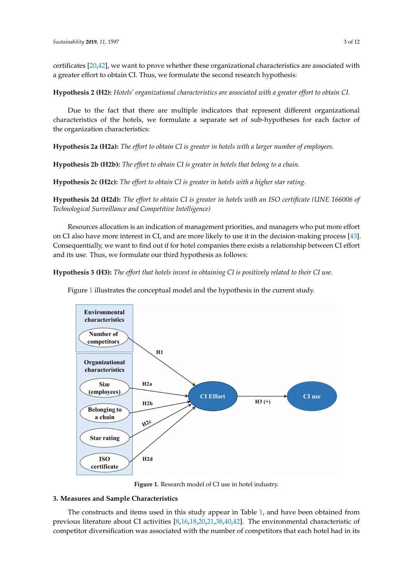certificates [\[20,](#page-9-21)[42\]](#page-10-5), we want to prove whether these organizational characteristics are associated with a greater effort to obtain CI. Thus, we formulate the second research hypothesis:

**Hypothesis 2 (H2):** *Hotels' organizational characteristics are associated with a greater effort to obtain CI.*

Due to the fact that there are multiple indicators that represent different organizational characteristics of the hotels, we formulate a separate set of sub-hypotheses for each factor of the organization characteristics:

**Hypothesis 2a (H2a):** *The effort to obtain CI is greater in hotels with a larger number of employees.*

**Hypothesis 2b (H2b):** *The effort to obtain CI is greater in hotels that belong to a chain.*

**Hypothesis 2c (H2c):** *The effort to obtain CI is greater in hotels with a higher star rating.*

**Hypothesis 2d (H2d):** *The effort to obtain CI is greater in hotels with an ISO certificate (UNE 166006 of Technological Surveillance and Competitive Intelligence)*

Resources allocation is an indication of management priorities, and managers who put more effort on CI also have more interest in CI, and are more likely to use it in the decision-making process [\[43\]](#page-10-6). Consequentially, we want to find out if for hotel companies there exists a relationship between CI effort and its use. Thus, we formulate our third hypothesis as follows:

**Hypothesis 3 (H3):** *The effort that hotels invest in obtaining CI is positively related to their CI use.*

Figure [1](#page-2-0) illustrates the conceptual model and the hypothesis in the current study.

<span id="page-2-0"></span>

**Figure 1.** Research model of CI use in hotel industry.

## **3. Measures and Sample Characteristics**

The constructs and items used in this study appear in Table [1,](#page-3-0) and have been obtained from previous literature about CI activities [\[8](#page-8-5)[,16,](#page-9-4)[18](#page-9-6)[,20,](#page-9-21)[21](#page-9-7)[,38,](#page-10-1)[40](#page-10-3)[,42\]](#page-10-5). The environmental characteristic of competitor diversification was associated with the number of competitors that each hotel had in its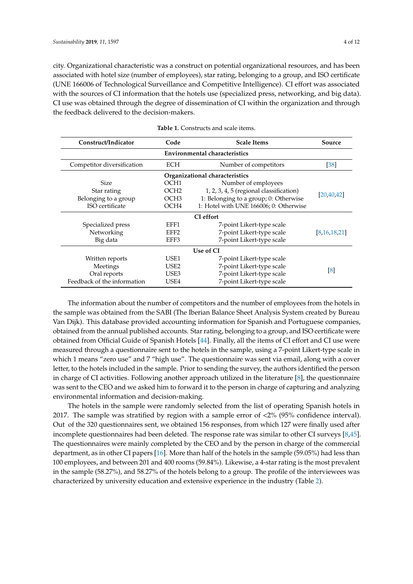city. Organizational characteristic was a construct on potential organizational resources, and has been associated with hotel size (number of employees), star rating, belonging to a group, and ISO certificate (UNE 166006 of Technological Surveillance and Competitive Intelligence). CI effort was associated with the sources of CI information that the hotels use (specialized press, networking, and big data). CI use was obtained through the degree of dissemination of CI within the organization and through the feedback delivered to the decision-makers.

<span id="page-3-0"></span>

| Construct/Indicator                  | Code                           | <b>Scale Items</b>                      |                   |  |  |  |  |  |  |
|--------------------------------------|--------------------------------|-----------------------------------------|-------------------|--|--|--|--|--|--|
| <b>Environmental characteristics</b> |                                |                                         |                   |  |  |  |  |  |  |
| Competitor diversification           | ECH                            | Number of competitors                   |                   |  |  |  |  |  |  |
|                                      | Organizational characteristics |                                         |                   |  |  |  |  |  |  |
| <b>Size</b>                          | OCH <sub>1</sub>               | Number of employees                     |                   |  |  |  |  |  |  |
| Star rating                          | OCH <sub>2</sub>               | 1, 2, 3, 4, 5 (regional classification) |                   |  |  |  |  |  |  |
| Belonging to a group                 | OCH <sub>3</sub>               | 1: Belonging to a group; 0: Otherwise   | [20, 40, 42]      |  |  |  |  |  |  |
| ISO certificate                      | OCH4                           | 1: Hotel with UNE 166006; 0: Otherwise  |                   |  |  |  |  |  |  |
| CI effort                            |                                |                                         |                   |  |  |  |  |  |  |
| Specialized press                    | EFF1                           | 7-point Likert-type scale               |                   |  |  |  |  |  |  |
| Networking                           | EFF <sub>2</sub>               | 7-point Likert-type scale               | [8, 16, 18, 21]   |  |  |  |  |  |  |
| Big data                             | EFF3                           | 7-point Likert-type scale               |                   |  |  |  |  |  |  |
|                                      |                                | Use of CI                               |                   |  |  |  |  |  |  |
| Written reports                      | USE1                           | 7-point Likert-type scale               |                   |  |  |  |  |  |  |
| Meetings                             | USE <sub>2</sub>               | 7-point Likert-type scale               |                   |  |  |  |  |  |  |
| Oral reports                         | USE3                           | 7-point Likert-type scale               | $\lceil 8 \rceil$ |  |  |  |  |  |  |
| Feedback of the information          | USE4                           | 7-point Likert-type scale               |                   |  |  |  |  |  |  |

**Table 1.** Constructs and scale items.

The information about the number of competitors and the number of employees from the hotels in the sample was obtained from the SABI (The Iberian Balance Sheet Analysis System created by Bureau Van Dijk). This database provided accounting information for Spanish and Portuguese companies, obtained from the annual published accounts. Star rating, belonging to a group, and ISO certificate were obtained from Official Guide of Spanish Hotels [\[44\]](#page-10-7). Finally, all the items of CI effort and CI use were measured through a questionnaire sent to the hotels in the sample, using a 7-point Likert-type scale in which 1 means "zero use" and 7 "high use". The questionnaire was sent via email, along with a cover letter, to the hotels included in the sample. Prior to sending the survey, the authors identified the person in charge of CI activities. Following another approach utilized in the literature [\[8\]](#page-8-5), the questionnaire was sent to the CEO and we asked him to forward it to the person in charge of capturing and analyzing environmental information and decision-making.

The hotels in the sample were randomly selected from the list of operating Spanish hotels in 2017. The sample was stratified by region with a sample error of <2% (95% confidence interval). Out of the 320 questionnaires sent, we obtained 156 responses, from which 127 were finally used after incomplete questionnaires had been deleted. The response rate was similar to other CI surveys [\[8,](#page-8-5)[45\]](#page-10-8). The questionnaires were mainly completed by the CEO and by the person in charge of the commercial department, as in other CI papers [\[16\]](#page-9-4). More than half of the hotels in the sample (59.05%) had less than 100 employees, and between 201 and 400 rooms (59.84%). Likewise, a 4-star rating is the most prevalent in the sample (58.27%), and 58.27% of the hotels belong to a group. The profile of the interviewees was characterized by university education and extensive experience in the industry (Table [2\)](#page-4-0).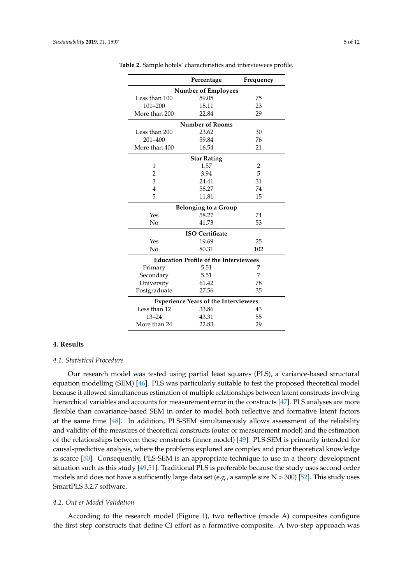|                             | Percentage                                   | Frequency      |  |  |  |  |  |  |  |
|-----------------------------|----------------------------------------------|----------------|--|--|--|--|--|--|--|
| <b>Number of Employees</b>  |                                              |                |  |  |  |  |  |  |  |
| Less than 100               | 59.05                                        | 75             |  |  |  |  |  |  |  |
| $101 - 200$                 | 18.11                                        | 23             |  |  |  |  |  |  |  |
| More than 200               | 22.84                                        | 29             |  |  |  |  |  |  |  |
| <b>Number of Rooms</b>      |                                              |                |  |  |  |  |  |  |  |
| Less than 200               | 23.62                                        | 30             |  |  |  |  |  |  |  |
| $201 - 400$                 | 59.84                                        | 76             |  |  |  |  |  |  |  |
| More than 400               | 16.54                                        | 21             |  |  |  |  |  |  |  |
|                             | <b>Star Rating</b>                           |                |  |  |  |  |  |  |  |
| 1                           | 1.57                                         | $\overline{2}$ |  |  |  |  |  |  |  |
| $\overline{2}$              | 3.94                                         | 5              |  |  |  |  |  |  |  |
| 3                           | 24.41                                        | 31             |  |  |  |  |  |  |  |
| $\overline{4}$              | 58.27                                        | 74             |  |  |  |  |  |  |  |
| 5                           | 11.81                                        | 15             |  |  |  |  |  |  |  |
| <b>Belonging to a Group</b> |                                              |                |  |  |  |  |  |  |  |
| Yes                         | 58.27                                        | 74             |  |  |  |  |  |  |  |
| No                          | 41.73                                        | 53             |  |  |  |  |  |  |  |
|                             | <b>ISO Certificate</b>                       |                |  |  |  |  |  |  |  |
| Yes                         | 19.69                                        | 25             |  |  |  |  |  |  |  |
| No                          | 80.31                                        | 102            |  |  |  |  |  |  |  |
|                             | <b>Education Profile of the Interviewees</b> |                |  |  |  |  |  |  |  |
| Primary                     | 5.51                                         | 7              |  |  |  |  |  |  |  |
| Secondary                   | 5.51                                         | 7              |  |  |  |  |  |  |  |
| University                  | 61.42                                        | 78             |  |  |  |  |  |  |  |
| Postgraduate                | 27.56                                        | 35             |  |  |  |  |  |  |  |
|                             | <b>Experience Years of the Interviewees</b>  |                |  |  |  |  |  |  |  |
| Less than 12                | 33.86                                        | 43             |  |  |  |  |  |  |  |
| $13 - 24$                   | 43.31                                        | 55             |  |  |  |  |  |  |  |
| More than 24                | 22.83                                        | 29             |  |  |  |  |  |  |  |

<span id="page-4-0"></span>

| Table 2. Sample hotels' characteristics and interviewees profile. |
|-------------------------------------------------------------------|
|-------------------------------------------------------------------|

## **4. Results**

#### *4.1. Statistical Procedure*

Our research model was tested using partial least squares (PLS), a variance-based structural equation modelling (SEM) [\[46\]](#page-10-9). PLS was particularly suitable to test the proposed theoretical model because it allowed simultaneous estimation of multiple relationships between latent constructs involving hierarchical variables and accounts for measurement error in the constructs [\[47\]](#page-10-10). PLS analyses are more flexible than covariance-based SEM in order to model both reflective and formative latent factors at the same time [\[48\]](#page-10-11). In addition, PLS-SEM simultaneously allows assessment of the reliability and validity of the measures of theoretical constructs (outer or measurement model) and the estimation of the relationships between these constructs (inner model) [\[49\]](#page-10-12). PLS-SEM is primarily intended for causal-predictive analysis, where the problems explored are complex and prior theoretical knowledge is scarce [\[50\]](#page-10-13). Consequently, PLS-SEM is an appropriate technique to use in a theory development situation such as this study [\[49,](#page-10-12)[51\]](#page-10-14). Traditional PLS is preferable because the study uses second order models and does not have a sufficiently large data set (e.g., a sample size  $N > 300$ ) [\[52\]](#page-10-15). This study uses SmartPLS 3.2.7 software.

#### *4.2. Out er Model Validation*

According to the research model (Figure [1\)](#page-2-0), two reflective (mode A) composites configure the first step constructs that define CI effort as a formative composite. A two-step approach was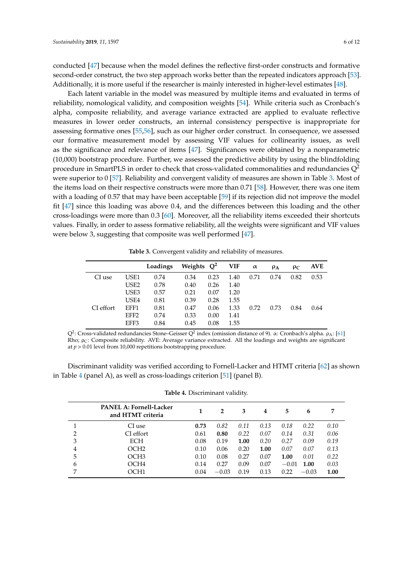conducted [\[47\]](#page-10-10) because when the model defines the reflective first-order constructs and formative second-order construct, the two step approach works better than the repeated indicators approach [\[53\]](#page-10-16). Additionally, it is more useful if the researcher is mainly interested in higher-level estimates [\[48\]](#page-10-11).

Each latent variable in the model was measured by multiple items and evaluated in terms of reliability, nomological validity, and composition weights [\[54\]](#page-10-17). While criteria such as Cronbach's alpha, composite reliability, and average variance extracted are applied to evaluate reflective measures in lower order constructs, an internal consistency perspective is inappropriate for assessing formative ones [\[55](#page-10-18)[,56\]](#page-10-19), such as our higher order construct. In consequence, we assessed our formative measurement model by assessing VIF values for collinearity issues, as well as the significance and relevance of items [\[47\]](#page-10-10). Significances were obtained by a nonparametric (10,000) bootstrap procedure. Further, we assessed the predictive ability by using the blindfolding procedure in SmartPLS in order to check that cross-validated commonalities and redundancies  $Q^2$ were superior to 0 [\[57\]](#page-10-20). Reliability and convergent validity of measures are shown in Table [3.](#page-5-0) Most of the items load on their respective constructs were more than 0.71 [\[58\]](#page-10-21). However, there was one item with a loading of 0.57 that may have been acceptable [\[59\]](#page-10-22) if its rejection did not improve the model fit [\[47\]](#page-10-10) since this loading was above 0.4, and the differences between this loading and the other cross-loadings were more than 0.3 [\[60\]](#page-10-23). Moreover, all the reliability items exceeded their shortcuts values. Finally, in order to assess formative reliability, all the weights were significant and VIF values were below 3, suggesting that composite was well performed [\[47\]](#page-10-10).

**Table 3.** Convergent validity and reliability of measures.

<span id="page-5-0"></span>

|           |                  | Loadings | Weights $Q^2$ |      | <b>VIF</b> | $\alpha$ | $\rho_A$ | $\rho_{\rm C}$ | <b>AVE</b> |
|-----------|------------------|----------|---------------|------|------------|----------|----------|----------------|------------|
| CI use    | USE1             | 0.74     | 0.34          | 0.23 | 1.40       | 0.71     | 0.74     | 0.82           | 0.53       |
|           | USE <sub>2</sub> | 0.78     | 0.40          | 0.26 | 1.40       |          |          |                |            |
|           | USE <sub>3</sub> | 0.57     | 0.21          | 0.07 | 1.20       |          |          |                |            |
|           | USE4             | 0.81     | 0.39          | 0.28 | 1.55       |          |          |                |            |
| CI effort | EFF1             | 0.81     | 0.47          | 0.06 | 1.33       | 0.72     | 0.73     | 0.84           | 0.64       |
|           | EFF <sub>2</sub> | 0.74     | 0.33          | 0.00 | 1.41       |          |          |                |            |
|           | EFF3             | 0.84     | 0.45          | 0.08 | 1.55       |          |          |                |            |

 $Q^2$ : Cross-validated redundancies Stone–Geisser  $Q^2$  index (omission distance of 9). α: Cronbach's alpha. ρ<sub>A</sub>: [\[61\]](#page-10-24) Rho;  $p_C$ : Composite reliability. AVE: Average variance extracted. All the loadings and weights are significant at *p* > 0.01 level from 10,000 repetitions bootstrapping procedure.

Discriminant validity was verified according to Fornell-Lacker and HTMT criteria [\[62\]](#page-10-25) as shown in Table [4](#page-6-0) (panel A), as well as cross-loadings criterion [\[51\]](#page-10-14) (panel B).

|   | <b>PANEL A: Fornell-Lacker</b><br>and HTMT criteria |      | $\mathbf{2}$ | 3    | 4    | 5       | 6       | 7    |
|---|-----------------------------------------------------|------|--------------|------|------|---------|---------|------|
|   | CI use                                              | 0.73 | 0.82         | 0.11 | 0.13 | 0.18    | 0.22    | 0.10 |
| 2 | CI effort                                           | 0.61 | 0.80         | 0.22 | 0.07 | 0.14    | 0.31    | 0.06 |
| 3 | ECH                                                 | 0.08 | 0.19         | 1.00 | 0.20 | 0.27    | 0.09    | 0.19 |
| 4 | OCH <sub>2</sub>                                    | 0.10 | 0.06         | 0.20 | 1.00 | 0.07    | 0.07    | 0.13 |
| 5 | OCH <sub>3</sub>                                    | 0.10 | 0.08         | 0.27 | 0.07 | 1.00    | 0.01    | 0.22 |
| 6 | OCH4                                                | 0.14 | 0.27         | 0.09 | 0.07 | $-0.01$ | 1.00    | 0.03 |
|   | OCH1                                                | 0.04 | $-0.03$      | 0.19 | 0.13 | 0.22    | $-0.03$ | 1.00 |

**Table 4.** Discriminant validity.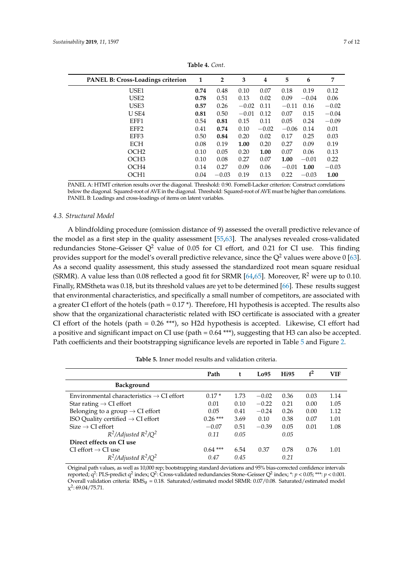<span id="page-6-0"></span>

| 1    | $\overline{2}$ | 3       | 4       | 5       | 6       | 7       |
|------|----------------|---------|---------|---------|---------|---------|
| 0.74 | 0.48           | 0.10    | 0.07    | 0.18    | 0.19    | 0.12    |
| 0.78 | 0.51           | 0.13    | 0.02    | 0.09    | $-0.04$ | 0.06    |
| 0.57 | 0.26           | $-0.02$ | 0.11    | $-0.11$ | 0.16    | $-0.02$ |
| 0.81 | 0.50           | $-0.01$ | 0.12    | 0.07    | 0.15    | $-0.04$ |
| 0.54 | 0.81           | 0.15    | 0.11    | 0.05    | 0.24    | $-0.09$ |
| 0.41 | 0.74           | 0.10    | $-0.02$ | $-0.06$ | 0.14    | 0.01    |
| 0.50 | 0.84           | 0.20    | 0.02    | 0.17    | 0.25    | 0.03    |
| 0.08 | 0.19           | 1.00    | 0.20    | 0.27    | 0.09    | 0.19    |
| 0.10 | 0.05           | 0.20    | 1.00    | 0.07    | 0.06    | 0.13    |
| 0.10 | 0.08           | 0.27    | 0.07    | 1.00    | $-0.01$ | 0.22    |
| 0.14 | 0.27           | 0.09    | 0.06    | $-0.01$ | 1.00    | $-0.03$ |
| 0.04 | $-0.03$        | 0.19    | 0.13    | 0.22    | $-0.03$ | 1.00    |
|      |                |         |         |         |         |         |

**Table 4.** *Cont*.

PANEL A: HTMT criterion results over the diagonal. Threshold: 0.90. Fornell-Lacker criterion: Construct correlations below the diagonal. Squared-root of AVE in the diagonal. Threshold: Squared-root of AVE must be higher than correlations. PANEL B: Loadings and cross-loadings of items on latent variables.

#### *4.3. Structural Model*

A blindfolding procedure (omission distance of 9) assessed the overall predictive relevance of the model as a first step in the quality assessment [\[55](#page-10-18)[,63\]](#page-10-26). The analyses revealed cross-validated redundancies Stone–Geisser  $Q^2$  value of 0.05 for CI effort, and 0.21 for CI use. This finding provides support for the model's overall predictive relevance, since the  $Q^2$  values were above 0 [\[63\]](#page-10-26). As a second quality assessment, this study assessed the standardized root mean square residual (SRMR). A value less than 0.08 reflected a good fit for SRMR  $[64,65]$  $[64,65]$ . Moreover,  $R^2$  were up to 0.10. Finally, RMStheta was 0.18, but its threshold values are yet to be determined [\[66\]](#page-11-2). These results suggest that environmental characteristics, and specifically a small number of competitors, are associated with a greater CI effort of the hotels (path = 0.17 \*). Therefore, H1 hypothesis is accepted. The results also show that the organizational characteristic related with ISO certificate is associated with a greater CI effort of the hotels (path = 0.26 \*\*\*), so H2d hypothesis is accepted. Likewise, CI effort had a positive and significant impact on CI use (path  $= 0.64$  \*\*\*), suggesting that H3 can also be accepted. Path coefficients and their bootstrapping significance levels are reported in Table [5](#page-6-1) and Figure [2.](#page-7-0)

| <b>Table 5.</b> Inner model results and validation criteria. |
|--------------------------------------------------------------|
|--------------------------------------------------------------|

<span id="page-6-1"></span>

|                                                       | Path       | t    | Lo95    | Hi95 | f <sup>2</sup> | <b>VIF</b> |
|-------------------------------------------------------|------------|------|---------|------|----------------|------------|
| <b>Background</b>                                     |            |      |         |      |                |            |
| Environmental characteristics $\rightarrow$ CI effort | $0.17*$    | 1.73 | $-0.02$ | 0.36 | 0.03           | 1.14       |
| Star rating $\rightarrow$ CI effort                   | 0.01       | 0.10 | $-0.22$ | 0.21 | 0.00           | 1.05       |
| Belonging to a group $\rightarrow$ CI effort          | 0.05       | 0.41 | $-0.24$ | 0.26 | 0.00           | 1.12       |
| ISO Quality certified $\rightarrow$ CI effort         | $0.26***$  | 3.69 | 0.10    | 0.38 | 0.07           | 1.01       |
| $Size \rightarrow CI$ effort                          | $-0.07$    | 0.51 | $-0.39$ | 0.05 | 0.01           | 1.08       |
| $R^2$ /Adjusted $R^2/Q^2$                             | 0.11       | 0.05 |         | 0.05 |                |            |
| Direct effects on CI use                              |            |      |         |      |                |            |
| $CI$ effort $\rightarrow CI$ use                      | $0.64$ *** | 6.54 | 0.37    | 0.78 | 0.76           | 1.01       |
| $R^2$ /Adjusted $R^2/Q^2$                             | 0.47       | 0.45 |         | 0.21 |                |            |

Original path values, as well as 10,000 rep; bootstrapping standard deviations and 95% bias-corrected confidence intervals reported; q<sup>2</sup>: PLS-predict q<sup>2</sup> index; Q<sup>2</sup>: Cross-validated redundancies Stone–Geisser Q<sup>2</sup> index; \*:  $p < 0.05$ ; \*\*\*:  $p < 0.001$ . Overall validation criteria:  $RMS_\theta = 0.18$ . Saturated/estimated model SRMR: 0.07/0.08. Saturated/estimated model  $\chi^2$ : 69.04/75.71.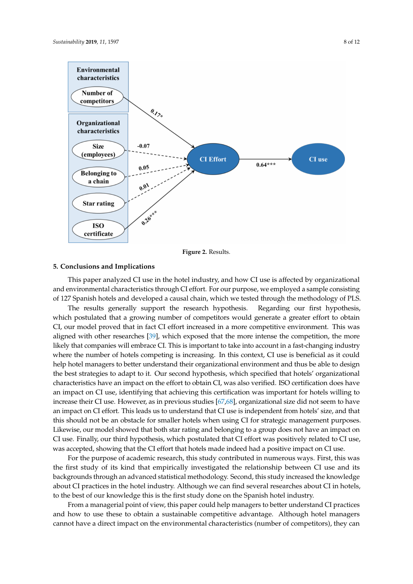<span id="page-7-0"></span>

**Figure 2.** Results.

#### **5. Conclusions and Implications**

This paper analyzed CI use in the hotel industry, and how CI use is affected by organizational and environmental characteristics through CI effort. For our purpose, we employed a sample consisting of 127 Spanish hotels and developed a causal chain, which we tested through the methodology of PLS.

The results generally support the research hypothesis. Regarding our first hypothesis, which postulated that a growing number of competitors would generate a greater effort to obtain CI, our model proved that in fact CI effort increased in a more competitive environment. This was aligned with other researches [\[39\]](#page-10-2), which exposed that the more intense the competition, the more likely that companies will embrace CI. This is important to take into account in a fast-changing industry where the number of hotels competing is increasing. In this context, CI use is beneficial as it could help hotel managers to better understand their organizational environment and thus be able to design the best strategies to adapt to it. Our second hypothesis, which specified that hotels' organizational characteristics have an impact on the effort to obtain CI, was also verified. ISO certification does have an impact on CI use, identifying that achieving this certification was important for hotels willing to increase their CI use. However, as in previous studies [\[67](#page-11-3)[,68\]](#page-11-4), organizational size did not seem to have an impact on CI effort. This leads us to understand that CI use is independent from hotels' size, and that this should not be an obstacle for smaller hotels when using CI for strategic management purposes. Likewise, our model showed that both star rating and belonging to a group does not have an impact on CI use. Finally, our third hypothesis, which postulated that CI effort was positively related to CI use, was accepted, showing that the CI effort that hotels made indeed had a positive impact on CI use.

For the purpose of academic research, this study contributed in numerous ways. First, this was the first study of its kind that empirically investigated the relationship between CI use and its backgrounds through an advanced statistical methodology. Second, this study increased the knowledge about CI practices in the hotel industry. Although we can find several researches about CI in hotels, to the best of our knowledge this is the first study done on the Spanish hotel industry.

From a managerial point of view, this paper could help managers to better understand CI practices and how to use these to obtain a sustainable competitive advantage. Although hotel managers cannot have a direct impact on the environmental characteristics (number of competitors), they can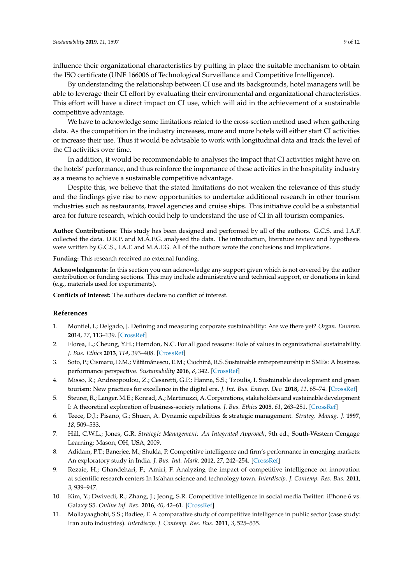influence their organizational characteristics by putting in place the suitable mechanism to obtain the ISO certificate (UNE 166006 of Technological Surveillance and Competitive Intelligence).

By understanding the relationship between CI use and its backgrounds, hotel managers will be able to leverage their CI effort by evaluating their environmental and organizational characteristics. This effort will have a direct impact on CI use, which will aid in the achievement of a sustainable competitive advantage.

We have to acknowledge some limitations related to the cross-section method used when gathering data. As the competition in the industry increases, more and more hotels will either start CI activities or increase their use. Thus it would be advisable to work with longitudinal data and track the level of the CI activities over time.

In addition, it would be recommendable to analyses the impact that CI activities might have on the hotels' performance, and thus reinforce the importance of these activities in the hospitality industry as a means to achieve a sustainable competitive advantage.

Despite this, we believe that the stated limitations do not weaken the relevance of this study and the findings give rise to new opportunities to undertake additional research in other tourism industries such as restaurants, travel agencies and cruise ships. This initiative could be a substantial area for future research, which could help to understand the use of CI in all tourism companies.

**Author Contributions:** This study has been designed and performed by all of the authors. G.C.S. and I.A.F. collected the data. D.R.P. and M.Á.F.G. analysed the data. The introduction, literature review and hypothesis were written by G.C.S., I.A.F. and M.Á.F.G. All of the authors wrote the conclusions and implications.

**Funding:** This research received no external funding.

**Acknowledgments:** In this section you can acknowledge any support given which is not covered by the author contribution or funding sections. This may include administrative and technical support, or donations in kind (e.g., materials used for experiments).

**Conflicts of Interest:** The authors declare no conflict of interest.

#### **References**

- <span id="page-8-0"></span>1. Montiel, I.; Delgado, J. Defining and measuring corporate sustainability: Are we there yet? *Organ. Environ.* **2014**, *27*, 113–139. [\[CrossRef\]](http://dx.doi.org/10.1177/1086026614526413)
- <span id="page-8-1"></span>2. Florea, L.; Cheung, Y.H.; Herndon, N.C. For all good reasons: Role of values in organizational sustainability. *J. Bus. Ethics* **2013**, *114*, 393–408. [\[CrossRef\]](http://dx.doi.org/10.1007/s10551-012-1355-x)
- 3. Soto, P.; Cismaru, D.M.; Vătămănescu, E.M.; Ciochină, R.S. Sustainable entrepreneurship in SMEs: A business performance perspective. *Sustainability* **2016**, *8*, 342. [\[CrossRef\]](http://dx.doi.org/10.3390/su8040342)
- 4. Misso, R.; Andreopoulou, Z.; Cesaretti, G.P.; Hanna, S.S.; Tzoulis, I. Sustainable development and green tourism: New practices for excellence in the digital era. *J. Int. Bus. Entrep. Dev.* **2018**, *11*, 65–74. [\[CrossRef\]](http://dx.doi.org/10.1504/JIBED.2018.090035)
- <span id="page-8-2"></span>5. Steurer, R.; Langer, M.E.; Konrad, A.; Martinuzzi, A. Corporations, stakeholders and sustainable development I: A theoretical exploration of business-society relations. *J. Bus. Ethics* **2005**, *61*, 263–281. [\[CrossRef\]](http://dx.doi.org/10.1007/s10551-005-7054-0)
- <span id="page-8-3"></span>6. Teece, D.J.; Pisano, G.; Shuen, A. Dynamic capabilities & strategic management. *Strateg. Manag. J.* **1997**, *18*, 509–533.
- <span id="page-8-4"></span>7. Hill, C.W.L.; Jones, G.R. *Strategic Management: An Integrated Approach*, 9th ed.; South-Western Cengage Learning: Mason, OH, USA, 2009.
- <span id="page-8-5"></span>8. Adidam, P.T.; Banerjee, M.; Shukla, P. Competitive intelligence and firm's performance in emerging markets: An exploratory study in India. *J. Bus. Ind. Mark.* **2012**, *27*, 242–254. [\[CrossRef\]](http://dx.doi.org/10.1108/08858621211207252)
- <span id="page-8-6"></span>9. Rezaie, H.; Ghandehari, F.; Amiri, F. Analyzing the impact of competitive intelligence on innovation at scientific research centers In Isfahan science and technology town. *Interdiscip. J. Contemp. Res. Bus.* **2011**, *3*, 939–947.
- <span id="page-8-7"></span>10. Kim, Y.; Dwivedi, R.; Zhang, J.; Jeong, S.R. Competitive intelligence in social media Twitter: iPhone 6 vs. Galaxy S5. *Online Inf. Rev.* **2016**, *40*, 42–61. [\[CrossRef\]](http://dx.doi.org/10.1108/OIR-03-2015-0068)
- <span id="page-8-8"></span>11. Mollayaaghobi, S.S.; Badiee, F. A comparative study of competitive intelligence in public sector (case study: Iran auto industries). *Interdiscip. J. Contemp. Res. Bus.* **2011**, *3*, 525–535.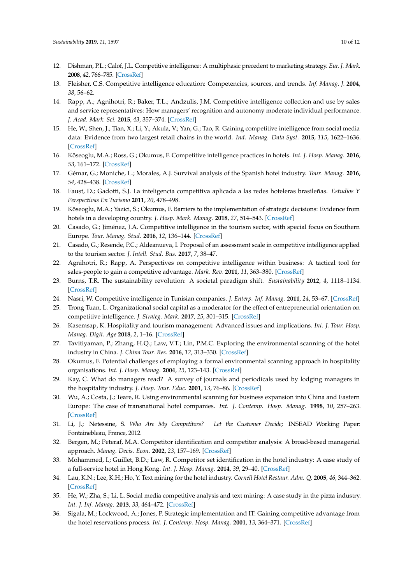- <span id="page-9-3"></span>12. Dishman, P.L.; Calof, J.L. Competitive intelligence: A multiphasic precedent to marketing strategy. *Eur. J. Mark.* **2008**, *42*, 766–785. [\[CrossRef\]](http://dx.doi.org/10.1108/03090560810877141)
- <span id="page-9-0"></span>13. Fleisher, C.S. Competitive intelligence education: Competencies, sources, and trends. *Inf. Manag. J.* **2004**, *38*, 56–62.
- <span id="page-9-1"></span>14. Rapp, A.; Agnihotri, R.; Baker, T.L.; Andzulis, J.M. Competitive intelligence collection and use by sales and service representatives: How managers' recognition and autonomy moderate individual performance. *J. Acad. Mark. Sci.* **2015**, *43*, 357–374. [\[CrossRef\]](http://dx.doi.org/10.1007/s11747-014-0384-7)
- <span id="page-9-2"></span>15. He, W.; Shen, J.; Tian, X.; Li, Y.; Akula, V.; Yan, G.; Tao, R. Gaining competitive intelligence from social media data: Evidence from two largest retail chains in the world. *Ind. Manag. Data Syst.* **2015**, *115*, 1622–1636. [\[CrossRef\]](http://dx.doi.org/10.1108/IMDS-03-2015-0098)
- <span id="page-9-4"></span>16. Köseoglu, M.A.; Ross, G.; Okumus, F. Competitive intelligence practices in hotels. *Int. J. Hosp. Manag.* **2016**, *53*, 161–172. [\[CrossRef\]](http://dx.doi.org/10.1016/j.ijhm.2015.11.002)
- <span id="page-9-5"></span>17. Gémar, G.; Moniche, L.; Morales, A.J. Survival analysis of the Spanish hotel industry. *Tour. Manag.* **2016**, *54*, 428–438. [\[CrossRef\]](http://dx.doi.org/10.1016/j.tourman.2015.12.012)
- <span id="page-9-6"></span>18. Faust, D.; Gadotti, S.J. La inteligencia competitiva aplicada a las redes hoteleras brasileñas. *Estudios Y Perspectivas En Turismo* **2011**, *20*, 478–498.
- <span id="page-9-20"></span>19. Köseoglu, M.A.; Yazici, S.; Okumus, F. Barriers to the implementation of strategic decisions: Evidence from hotels in a developing country. *J. Hosp. Mark. Manag.* **2018**, *27*, 514–543. [\[CrossRef\]](http://dx.doi.org/10.1080/19368623.2018.1402723)
- <span id="page-9-21"></span>20. Casado, G.; Jiménez, J.A. Competitive intelligence in the tourism sector, with special focus on Southern Europe. *Tour. Manag. Stud.* **2016**, *12*, 136–144. [\[CrossRef\]](http://dx.doi.org/10.18089/tms.2016.12114)
- <span id="page-9-7"></span>21. Casado, G.; Resende, P.C.; Aldeanueva, I. Proposal of an assessment scale in competitive intelligence applied to the tourism sector. *J. Intell. Stud. Bus.* **2017**, *7*, 38–47.
- <span id="page-9-8"></span>22. Agnihotri, R.; Rapp, A. Perspectives on competitive intelligence within business: A tactical tool for sales-people to gain a competitive advantage. *Mark. Rev.* **2011**, *11*, 363–380. [\[CrossRef\]](http://dx.doi.org/10.1362/146934711X13210328715948)
- <span id="page-9-9"></span>23. Burns, T.R. The sustainability revolution: A societal paradigm shift. *Sustainability* **2012**, *4*, 1118–1134. [\[CrossRef\]](http://dx.doi.org/10.3390/su4061118)
- <span id="page-9-10"></span>24. Nasri, W. Competitive intelligence in Tunisian companies. *J. Enterp. Inf. Manag.* **2011**, *24*, 53–67. [\[CrossRef\]](http://dx.doi.org/10.1108/17410391111097429)
- <span id="page-9-11"></span>25. Trong Tuan, L. Organizational social capital as a moderator for the effect of entrepreneurial orientation on competitive intelligence. *J. Strateg. Mark.* **2017**, *25*, 301–315. [\[CrossRef\]](http://dx.doi.org/10.1080/0965254X.2015.1076884)
- <span id="page-9-12"></span>26. Kasemsap, K. Hospitality and tourism management: Advanced issues and implications. *Int. J. Tour. Hosp. Manag. Digit. Age* **2018**, *2*, 1–16. [\[CrossRef\]](http://dx.doi.org/10.4018/IJTHMDA.2018070103)
- 27. Tavitiyaman, P.; Zhang, H.Q.; Law, V.T.; Lin, P.M.C. Exploring the environmental scanning of the hotel industry in China. *J. China Tour. Res.* **2016**, *12*, 313–330. [\[CrossRef\]](http://dx.doi.org/10.1080/19388160.2016.1263264)
- 28. Okumus, F. Potential challenges of employing a formal environmental scanning approach in hospitality organisations. *Int. J. Hosp. Manag.* **2004**, *23*, 123–143. [\[CrossRef\]](http://dx.doi.org/10.1016/j.ijhm.2003.09.002)
- 29. Kay, C. What do managers read? A survey of journals and periodicals used by lodging managers in the hospitality industry. *J. Hosp. Tour. Educ.* **2001**, *13*, 76–86. [\[CrossRef\]](http://dx.doi.org/10.1080/10963758.2001.10696702)
- <span id="page-9-13"></span>30. Wu, A.; Costa, J.; Teare, R. Using environmental scanning for business expansion into China and Eastern Europe: The case of transnational hotel companies. *Int. J. Contemp. Hosp. Manag.* **1998**, *10*, 257–263. [\[CrossRef\]](http://dx.doi.org/10.1108/09596119810240843)
- <span id="page-9-14"></span>31. Li, J.; Netessine, S. *Who Are My Competitors? Let the Customer Decide*; INSEAD Working Paper: Fontainebleau, France, 2012.
- <span id="page-9-15"></span>32. Bergen, M.; Peteraf, M.A. Competitor identification and competitor analysis: A broad-based managerial approach. *Manag. Decis. Econ.* **2002**, *23*, 157–169. [\[CrossRef\]](http://dx.doi.org/10.1002/mde.1059)
- <span id="page-9-16"></span>33. Mohammed, I.; Guillet, B.D.; Law, R. Competitor set identification in the hotel industry: A case study of a full-service hotel in Hong Kong. *Int. J. Hosp. Manag.* **2014**, *39*, 29–40. [\[CrossRef\]](http://dx.doi.org/10.1016/j.ijhm.2014.02.002)
- <span id="page-9-17"></span>34. Lau, K.N.; Lee, K.H.; Ho, Y. Text mining for the hotel industry. *Cornell Hotel Restaur. Adm. Q.* **2005**, *46*, 344–362. [\[CrossRef\]](http://dx.doi.org/10.1177/0010880405275966)
- <span id="page-9-18"></span>35. He, W.; Zha, S.; Li, L. Social media competitive analysis and text mining: A case study in the pizza industry. *Int. J. Inf. Manag.* **2013**, *33*, 464–472. [\[CrossRef\]](http://dx.doi.org/10.1016/j.ijinfomgt.2013.01.001)
- <span id="page-9-19"></span>36. Sigala, M.; Lockwood, A.; Jones, P. Strategic implementation and IT: Gaining competitive advantage from the hotel reservations process. *Int. J. Contemp. Hosp. Manag.* **2001**, *13*, 364–371. [\[CrossRef\]](http://dx.doi.org/10.1108/09596110110403956)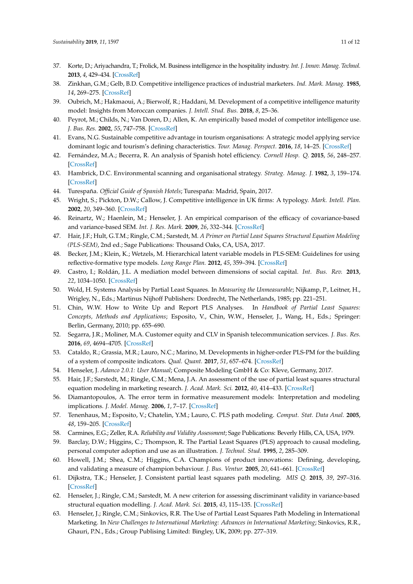- <span id="page-10-0"></span>37. Korte, D.; Ariyachandra, T.; Frolick, M. Business intelligence in the hospitality industry. *Int. J. Innov. Manag. Technol.* **2013**, *4*, 429–434. [\[CrossRef\]](http://dx.doi.org/10.7763/IJIMT.2013.V4.435)
- <span id="page-10-1"></span>38. Zinkhan, G.M.; Gelb, B.D. Competitive intelligence practices of industrial marketers. *Ind. Mark. Manag.* **1985**, *14*, 269–275. [\[CrossRef\]](http://dx.doi.org/10.1016/0019-8501(85)90019-7)
- <span id="page-10-2"></span>39. Oubrich, M.; Hakmaoui, A.; Bierwolf, R.; Haddani, M. Development of a competitive intelligence maturity model: Insights from Moroccan companies. *J. Intell. Stud. Bus.* **2018**, *8*, 25–36.
- <span id="page-10-3"></span>40. Peyrot, M.; Childs, N.; Van Doren, D.; Allen, K. An empirically based model of competitor intelligence use. *J. Bus. Res.* **2002**, *55*, 747–758. [\[CrossRef\]](http://dx.doi.org/10.1016/S0148-2963(00)00179-X)
- <span id="page-10-4"></span>41. Evans, N.G. Sustainable competitive advantage in tourism organisations: A strategic model applying service dominant logic and tourism's defining characteristics. *Tour. Manag. Perspect.* **2016**, *18*, 14–25. [\[CrossRef\]](http://dx.doi.org/10.1016/j.tmp.2015.12.015)
- <span id="page-10-5"></span>42. Fernández, M.A.; Becerra, R. An analysis of Spanish hotel efficiency. *Cornell Hosp. Q.* **2015**, *56*, 248–257. [\[CrossRef\]](http://dx.doi.org/10.1177/1938965513509877)
- <span id="page-10-6"></span>43. Hambrick, D.C. Environmental scanning and organisational strategy. *Strateg. Manag. J.* **1982**, *3*, 159–174. [\[CrossRef\]](http://dx.doi.org/10.1002/smj.4250030207)
- <span id="page-10-7"></span>44. Turespaña. *Official Guide of Spanish Hotels*; Turespaña: Madrid, Spain, 2017.
- <span id="page-10-8"></span>45. Wright, S.; Pickton, D.W.; Callow, J. Competitive intelligence in UK firms: A typology. *Mark. Intell. Plan.* **2002**, *20*, 349–360. [\[CrossRef\]](http://dx.doi.org/10.1108/02634500210445400)
- <span id="page-10-9"></span>46. Reinartz, W.; Haenlein, M.; Henseler, J. An empirical comparison of the efficacy of covariance-based and variance-based SEM. *Int. J. Res. Mark.* **2009**, *26*, 332–344. [\[CrossRef\]](http://dx.doi.org/10.1016/j.ijresmar.2009.08.001)
- <span id="page-10-10"></span>47. Hair, J.F.; Hult, G.T.M.; Ringle, C.M.; Sarstedt, M. *A Primer on Partial Least Squares Structural Equation Modeling (PLS-SEM)*, 2nd ed.; Sage Publications: Thousand Oaks, CA, USA, 2017.
- <span id="page-10-11"></span>48. Becker, J.M.; Klein, K.; Wetzels, M. Hierarchical latent variable models in PLS-SEM: Guidelines for using reflective-formative type models. *Long Range Plan.* **2012**, *45*, 359–394. [\[CrossRef\]](http://dx.doi.org/10.1016/j.lrp.2012.10.001)
- <span id="page-10-12"></span>49. Castro, I.; Roldán, J.L. A mediation model between dimensions of social capital. *Int. Bus. Rev.* **2013**, *22*, 1034–1050. [\[CrossRef\]](http://dx.doi.org/10.1016/j.ibusrev.2013.02.004)
- <span id="page-10-13"></span>50. Wold, H. Systems Analysis by Partial Least Squares. In *Measuring the Unmeasurable*; Nijkamp, P., Leitner, H., Wrigley, N., Eds.; Martinus Nijhoff Publishers: Dordrecht, The Netherlands, 1985; pp. 221–251.
- <span id="page-10-14"></span>51. Chin, W.W. How to Write Up and Report PLS Analyses. In *Handbook of Partial Least Squares: Concepts, Methods and Applications*; Esposito, V., Chin, W.W., Henseler, J., Wang, H., Eds.; Springer: Berlin, Germany, 2010; pp. 655–690.
- <span id="page-10-15"></span>52. Segarra, J.R.; Moliner, M.A. Customer equity and CLV in Spanish telecommunication services. *J. Bus. Res.* **2016**, *69*, 4694–4705. [\[CrossRef\]](http://dx.doi.org/10.1016/j.jbusres.2016.04.017)
- <span id="page-10-16"></span>53. Cataldo, R.; Grassia, M.R.; Lauro, N.C.; Marino, M. Developments in higher-order PLS-PM for the building of a system of composite indicators. *Qual. Quant.* **2017**, *51*, 657–674. [\[CrossRef\]](http://dx.doi.org/10.1007/s11135-016-0431-1)
- <span id="page-10-17"></span>54. Henseler, J. *Adanco 2.0.1: User Manual*; Composite Modeling GmbH & Co: Kleve, Germany, 2017.
- <span id="page-10-18"></span>55. Hair, J.F.; Sarstedt, M.; Ringle, C.M.; Mena, J.A. An assessment of the use of partial least squares structural equation modeling in marketing research. *J. Acad. Mark. Sci.* **2012**, *40*, 414–433. [\[CrossRef\]](http://dx.doi.org/10.1007/s11747-011-0261-6)
- <span id="page-10-19"></span>56. Diamantopoulos, A. The error term in formative measurement models: Interpretation and modeling implications. *J. Model. Manag.* **2006**, *1*, 7–17. [\[CrossRef\]](http://dx.doi.org/10.1108/17465660610667775)
- <span id="page-10-20"></span>57. Tenenhaus, M.; Esposito, V.; Chatelin, Y.M.; Lauro, C. PLS path modeling. *Comput. Stat. Data Anal.* **2005**, *48*, 159–205. [\[CrossRef\]](http://dx.doi.org/10.1016/j.csda.2004.03.005)
- <span id="page-10-21"></span>58. Carmines, E.G.; Zeller, R.A. *Reliability and Validity Assessment*; Sage Publications: Beverly Hills, CA, USA, 1979.
- <span id="page-10-22"></span>59. Barclay, D.W.; Higgins, C.; Thompson, R. The Partial Least Squares (PLS) approach to causal modeling, personal computer adoption and use as an illustration. *J. Technol. Stud.* **1995**, *2*, 285–309.
- <span id="page-10-23"></span>60. Howell, J.M.; Shea, C.M.; Higgins, C.A. Champions of product innovations: Defining, developing, and validating a measure of champion behaviour. *J. Bus. Ventur.* **2005**, *20*, 641–661. [\[CrossRef\]](http://dx.doi.org/10.1016/j.jbusvent.2004.06.001)
- <span id="page-10-24"></span>61. Dijkstra, T.K.; Henseler, J. Consistent partial least squares path modeling. *MIS Q.* **2015**, *39*, 297–316. [\[CrossRef\]](http://dx.doi.org/10.25300/MISQ/2015/39.2.02)
- <span id="page-10-25"></span>62. Henseler, J.; Ringle, C.M.; Sarstedt, M. A new criterion for assessing discriminant validity in variance-based structural equation modelling. *J. Acad. Mark. Sci.* **2015**, *43*, 115–135. [\[CrossRef\]](http://dx.doi.org/10.1007/s11747-014-0403-8)
- <span id="page-10-26"></span>63. Henseler, J.; Ringle, C.M.; Sinkovics, R.R. The Use of Partial Least Squares Path Modeling in International Marketing. In *New Challenges to International Marketing: Advances in International Marketing*; Sinkovics, R.R., Ghauri, P.N., Eds.; Group Publising Limited: Bingley, UK, 2009; pp. 277–319.